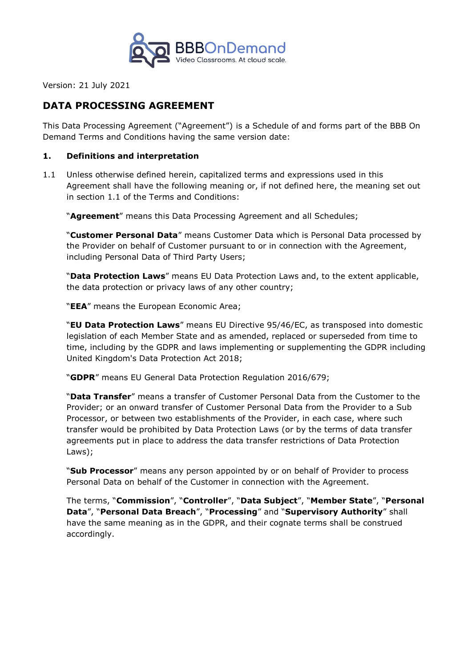

Version: 21 July 2021

# **DATA PROCESSING AGREEMENT**

This Data Processing Agreement ("Agreement") is a Schedule of and forms part of the BBB On Demand Terms and Conditions having the same version date:

### **1. Definitions and interpretation**

1.1 Unless otherwise defined herein, capitalized terms and expressions used in this Agreement shall have the following meaning or, if not defined here, the meaning set out in section 1.1 of the Terms and Conditions:

"**Agreement**" means this Data Processing Agreement and all Schedules;

"**Customer Personal Data**" means Customer Data which is Personal Data processed by the Provider on behalf of Customer pursuant to or in connection with the Agreement, including Personal Data of Third Party Users;

"**Data Protection Laws**" means EU Data Protection Laws and, to the extent applicable, the data protection or privacy laws of any other country;

"**EEA**" means the European Economic Area;

"**EU Data Protection Laws**" means EU Directive 95/46/EC, as transposed into domestic legislation of each Member State and as amended, replaced or superseded from time to time, including by the GDPR and laws implementing or supplementing the GDPR including United Kingdom's Data Protection Act 2018;

"**GDPR**" means EU General Data Protection Regulation 2016/679;

"**Data Transfer**" means a transfer of Customer Personal Data from the Customer to the Provider; or an onward transfer of Customer Personal Data from the Provider to a Sub Processor, or between two establishments of the Provider, in each case, where such transfer would be prohibited by Data Protection Laws (or by the terms of data transfer agreements put in place to address the data transfer restrictions of Data Protection Laws);

"**Sub Processor**" means any person appointed by or on behalf of Provider to process Personal Data on behalf of the Customer in connection with the Agreement.

The terms, "**Commission**", "**Controller**", "**Data Subject**", "**Member State**", "**Personal Data**", "**Personal Data Breach**", "**Processing**" and "**Supervisory Authority**" shall have the same meaning as in the GDPR, and their cognate terms shall be construed accordingly.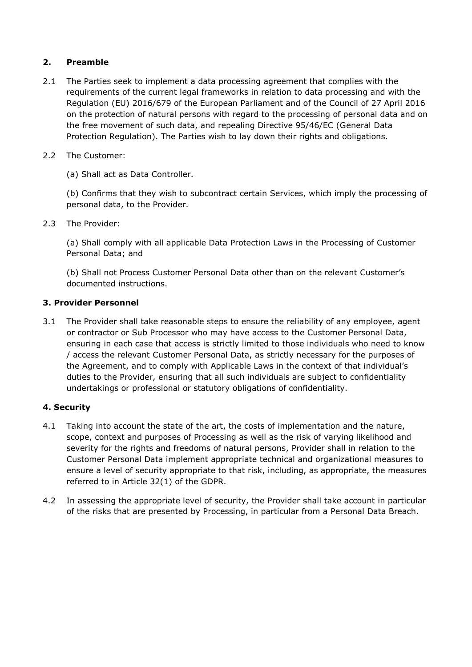## **2. Preamble**

- 2.1 The Parties seek to implement a data processing agreement that complies with the requirements of the current legal frameworks in relation to data processing and with the Regulation (EU) 2016/679 of the European Parliament and of the Council of 27 April 2016 on the protection of natural persons with regard to the processing of personal data and on the free movement of such data, and repealing Directive 95/46/EC (General Data Protection Regulation). The Parties wish to lay down their rights and obligations.
- 2.2 The Customer:
	- (a) Shall act as Data Controller.

(b) Confirms that they wish to subcontract certain Services, which imply the processing of personal data, to the Provider.

2.3 The Provider:

(a) Shall comply with all applicable Data Protection Laws in the Processing of Customer Personal Data; and

(b) Shall not Process Customer Personal Data other than on the relevant Customer's documented instructions.

## **3. Provider Personnel**

3.1 The Provider shall take reasonable steps to ensure the reliability of any employee, agent or contractor or Sub Processor who may have access to the Customer Personal Data, ensuring in each case that access is strictly limited to those individuals who need to know / access the relevant Customer Personal Data, as strictly necessary for the purposes of the Agreement, and to comply with Applicable Laws in the context of that individual's duties to the Provider, ensuring that all such individuals are subject to confidentiality undertakings or professional or statutory obligations of confidentiality.

## **4. Security**

- 4.1 Taking into account the state of the art, the costs of implementation and the nature, scope, context and purposes of Processing as well as the risk of varying likelihood and severity for the rights and freedoms of natural persons, Provider shall in relation to the Customer Personal Data implement appropriate technical and organizational measures to ensure a level of security appropriate to that risk, including, as appropriate, the measures referred to in Article 32(1) of the GDPR.
- 4.2 In assessing the appropriate level of security, the Provider shall take account in particular of the risks that are presented by Processing, in particular from a Personal Data Breach.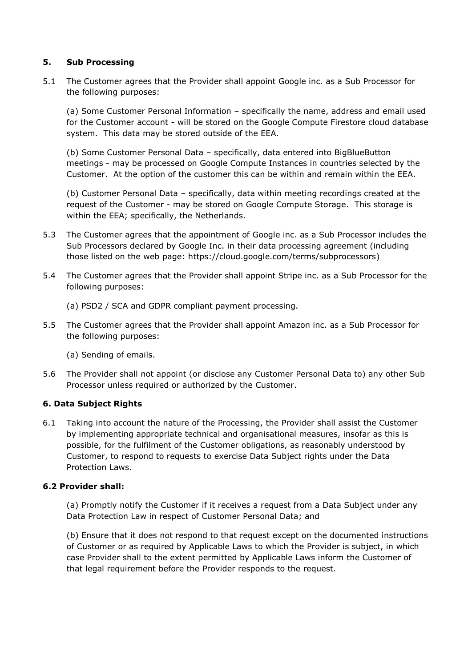### **5. Sub Processing**

5.1 The Customer agrees that the Provider shall appoint Google inc. as a Sub Processor for the following purposes:

(a) Some Customer Personal Information – specifically the name, address and email used for the Customer account - will be stored on the Google Compute Firestore cloud database system. This data may be stored outside of the EEA.

(b) Some Customer Personal Data – specifically, data entered into BigBlueButton meetings - may be processed on Google Compute Instances in countries selected by the Customer. At the option of the customer this can be within and remain within the EEA.

(b) Customer Personal Data – specifically, data within meeting recordings created at the request of the Customer - may be stored on Google Compute Storage. This storage is within the EEA; specifically, the Netherlands.

- 5.3 The Customer agrees that the appointment of Google inc. as a Sub Processor includes the Sub Processors declared by Google Inc. in their data processing agreement (including those listed on the web page: https://cloud.google.com/terms/subprocessors)
- 5.4 The Customer agrees that the Provider shall appoint Stripe inc. as a Sub Processor for the following purposes:
	- (a) PSD2 / SCA and GDPR compliant payment processing.
- 5.5 The Customer agrees that the Provider shall appoint Amazon inc. as a Sub Processor for the following purposes:
	- (a) Sending of emails.
- 5.6 The Provider shall not appoint (or disclose any Customer Personal Data to) any other Sub Processor unless required or authorized by the Customer.

## **6. Data Subject Rights**

6.1 Taking into account the nature of the Processing, the Provider shall assist the Customer by implementing appropriate technical and organisational measures, insofar as this is possible, for the fulfilment of the Customer obligations, as reasonably understood by Customer, to respond to requests to exercise Data Subject rights under the Data Protection Laws.

#### **6.2 Provider shall:**

(a) Promptly notify the Customer if it receives a request from a Data Subject under any Data Protection Law in respect of Customer Personal Data; and

(b) Ensure that it does not respond to that request except on the documented instructions of Customer or as required by Applicable Laws to which the Provider is subject, in which case Provider shall to the extent permitted by Applicable Laws inform the Customer of that legal requirement before the Provider responds to the request.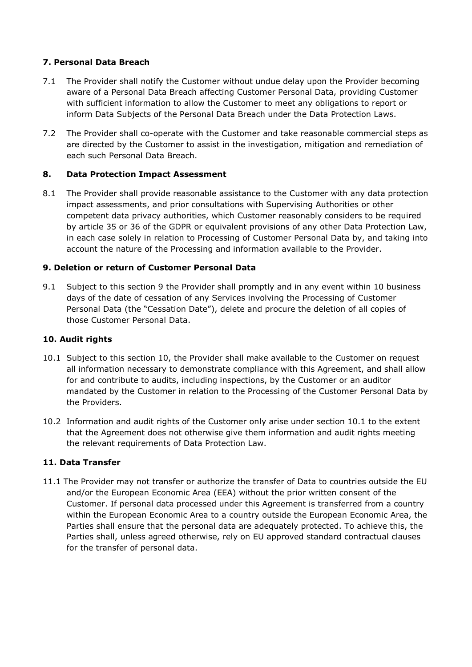## **7. Personal Data Breach**

- 7.1 The Provider shall notify the Customer without undue delay upon the Provider becoming aware of a Personal Data Breach affecting Customer Personal Data, providing Customer with sufficient information to allow the Customer to meet any obligations to report or inform Data Subjects of the Personal Data Breach under the Data Protection Laws.
- 7.2 The Provider shall co-operate with the Customer and take reasonable commercial steps as are directed by the Customer to assist in the investigation, mitigation and remediation of each such Personal Data Breach.

## **8. Data Protection Impact Assessment**

8.1 The Provider shall provide reasonable assistance to the Customer with any data protection impact assessments, and prior consultations with Supervising Authorities or other competent data privacy authorities, which Customer reasonably considers to be required by article 35 or 36 of the GDPR or equivalent provisions of any other Data Protection Law, in each case solely in relation to Processing of Customer Personal Data by, and taking into account the nature of the Processing and information available to the Provider.

## **9. Deletion or return of Customer Personal Data**

9.1 Subject to this section 9 the Provider shall promptly and in any event within 10 business days of the date of cessation of any Services involving the Processing of Customer Personal Data (the "Cessation Date"), delete and procure the deletion of all copies of those Customer Personal Data.

## **10. Audit rights**

- 10.1 Subject to this section 10, the Provider shall make available to the Customer on request all information necessary to demonstrate compliance with this Agreement, and shall allow for and contribute to audits, including inspections, by the Customer or an auditor mandated by the Customer in relation to the Processing of the Customer Personal Data by the Providers.
- 10.2 Information and audit rights of the Customer only arise under section 10.1 to the extent that the Agreement does not otherwise give them information and audit rights meeting the relevant requirements of Data Protection Law.

## **11. Data Transfer**

11.1 The Provider may not transfer or authorize the transfer of Data to countries outside the EU and/or the European Economic Area (EEA) without the prior written consent of the Customer. If personal data processed under this Agreement is transferred from a country within the European Economic Area to a country outside the European Economic Area, the Parties shall ensure that the personal data are adequately protected. To achieve this, the Parties shall, unless agreed otherwise, rely on EU approved standard contractual clauses for the transfer of personal data.